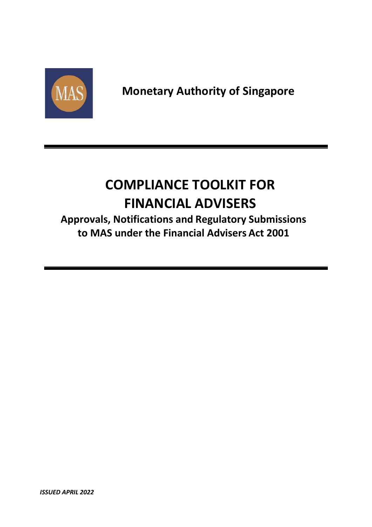

## **COMPLIANCE TOOLKIT FOR FINANCIAL ADVISERS**

**Approvals, Notifications and Regulatory Submissions to MAS under the Financial Advisers Act 2001**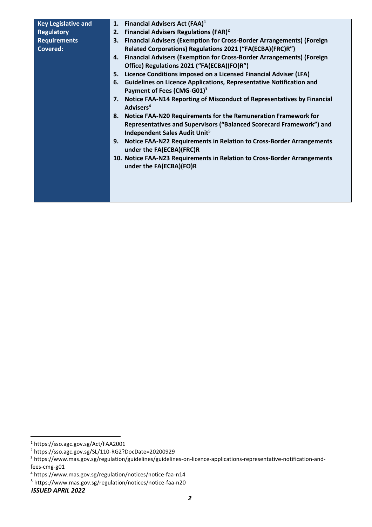| <b>Key Legislative and</b> |    | 1. Financial Advisers Act (FAA) <sup>1</sup>                                                                      |
|----------------------------|----|-------------------------------------------------------------------------------------------------------------------|
| <b>Regulatory</b>          | 2. | <b>Financial Advisers Regulations (FAR)<sup>2</sup></b>                                                           |
| <b>Requirements</b>        | 3. | <b>Financial Advisers (Exemption for Cross-Border Arrangements) (Foreign</b>                                      |
| <b>Covered:</b>            |    | Related Corporations) Regulations 2021 ("FA(ECBA)(FRC)R")                                                         |
|                            |    | 4. Financial Advisers (Exemption for Cross-Border Arrangements) (Foreign                                          |
|                            |    | Office) Regulations 2021 ("FA(ECBA)(FO)R")                                                                        |
|                            |    | 5. Licence Conditions imposed on a Licensed Financial Adviser (LFA)                                               |
|                            | 6. | <b>Guidelines on Licence Applications, Representative Notification and</b>                                        |
|                            |    | Payment of Fees (CMG-G01) <sup>3</sup>                                                                            |
|                            |    | 7. Notice FAA-N14 Reporting of Misconduct of Representatives by Financial<br>Advisers <sup>4</sup>                |
|                            |    | 8. Notice FAA-N20 Requirements for the Remuneration Framework for                                                 |
|                            |    | Representatives and Supervisors ("Balanced Scorecard Framework") and<br>Independent Sales Audit Unit <sup>5</sup> |
|                            | 9. | Notice FAA-N22 Requirements in Relation to Cross-Border Arrangements<br>under the FA(ECBA)(FRC)R                  |
|                            |    | 10. Notice FAA-N23 Requirements in Relation to Cross-Border Arrangements<br>under the FA(ECBA)(FO)R               |
|                            |    |                                                                                                                   |
|                            |    |                                                                                                                   |
|                            |    |                                                                                                                   |
|                            |    |                                                                                                                   |

<sup>1</sup> https://sso.agc.gov.sg/Act/FAA2001

<sup>2</sup> https://sso.agc.gov.sg/SL/110-RG2?DocDate=20200929

<sup>3</sup> https://www.mas.gov.sg/regulation/guidelines/guidelines-on-licence-applications-representative-notification-andfees-cmg-g01

<sup>4</sup> https://www.mas.gov.sg/regulation/notices/notice-faa-n14

<sup>5</sup> https://www.mas.gov.sg/regulation/notices/notice-faa-n20

*ISSUED APRIL 2022*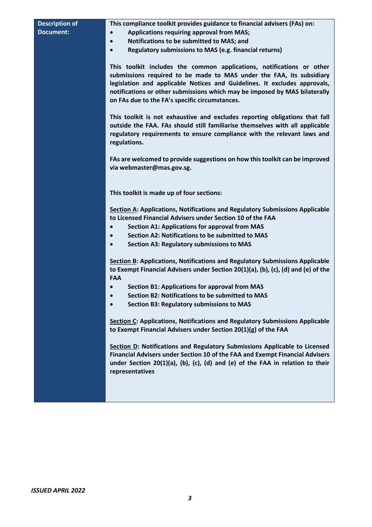## **Description of Document:**

**This compliance toolkit provides guidance to financial advisers (FAs) on:** 

- **Applications requiring approval from MAS;**
- **Notifications to be submitted to MAS; and**
- **Regulatory submissions to MAS (e.g. financial returns)**

**This toolkit includes the common applications, notifications or other submissions required to be made to MAS under the FAA, its subsidiary legislation and applicable Notices and Guidelines. It excludes approvals, notifications or other submissions which may be imposed by MAS bilaterally on FAs due to the FA's specific circumstances.** 

**This toolkit is not exhaustive and excludes reporting obligations that fall outside the FAA. FAs should still familiarise themselves with all applicable regulatory requirements to ensure compliance with the relevant laws and regulations.**

**FAs are welcomed to provide suggestions on how this toolkit can be improved via [webmaster@mas.gov.sg.](mailto:webmaster@mas.gov.sg)**

**This toolkit is made up of four sections:**

**Section A: Applications, Notifications and Regulatory Submissions Applicable to Licensed Financial Advisers under Section 10 of the FAA**

- **Section A1: Applications for approval from MAS**
- **Section A2: Notifications to be submitted to MAS**
- **Section A3: Regulatory submissions to MAS**

**Section B: Applications, Notifications and Regulatory Submissions Applicable to Exempt Financial Advisers under Section 20(1)(a), (b), (c), (d) and (e) of the FAA**

- **Section B1: Applications for approval from MAS**
- **Section B2: Notifications to be submitted to MAS**
- **Section B3: Regulatory submissions to MAS**

**Section C: Applications, Notifications and Regulatory Submissions Applicable to Exempt Financial Advisers under Section 20(1)(g) of the FAA**

**Section D: Notifications and Regulatory Submissions Applicable to Licensed Financial Advisers under Section 10 of the FAA and Exempt Financial Advisers under Section 20(1)(a), (b), (c), (d) and (e) of the FAA in relation to their representatives**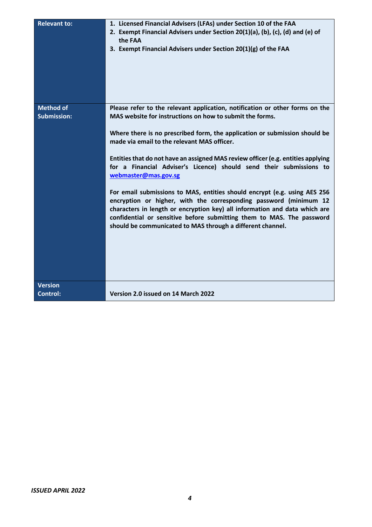| <b>Relevant to:</b>                    | 1. Licensed Financial Advisers (LFAs) under Section 10 of the FAA<br>2. Exempt Financial Advisers under Section 20(1)(a), (b), (c), (d) and (e) of<br>the FAA<br>3. Exempt Financial Advisers under Section 20(1)(g) of the FAA                                                                                                                                                                                                                                                                                                                                                                                                                                                                                                                                                                                                 |
|----------------------------------------|---------------------------------------------------------------------------------------------------------------------------------------------------------------------------------------------------------------------------------------------------------------------------------------------------------------------------------------------------------------------------------------------------------------------------------------------------------------------------------------------------------------------------------------------------------------------------------------------------------------------------------------------------------------------------------------------------------------------------------------------------------------------------------------------------------------------------------|
| <b>Method of</b><br><b>Submission:</b> | Please refer to the relevant application, notification or other forms on the<br>MAS website for instructions on how to submit the forms.<br>Where there is no prescribed form, the application or submission should be<br>made via email to the relevant MAS officer.<br>Entities that do not have an assigned MAS review officer (e.g. entities applying<br>for a Financial Adviser's Licence) should send their submissions to<br>webmaster@mas.gov.sg<br>For email submissions to MAS, entities should encrypt (e.g. using AES 256<br>encryption or higher, with the corresponding password (minimum 12<br>characters in length or encryption key) all information and data which are<br>confidential or sensitive before submitting them to MAS. The password<br>should be communicated to MAS through a different channel. |
| <b>Version</b><br><b>Control:</b>      | Version 2.0 issued on 14 March 2022                                                                                                                                                                                                                                                                                                                                                                                                                                                                                                                                                                                                                                                                                                                                                                                             |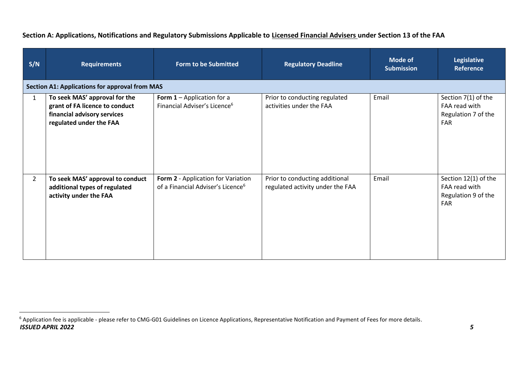| S/N          | <b>Requirements</b>                                                                                                       | <b>Form to be Submitted</b>                                                         | <b>Regulatory Deadline</b>                                         | <b>Mode of</b><br><b>Submission</b> | Legislative<br><b>Reference</b>                                            |
|--------------|---------------------------------------------------------------------------------------------------------------------------|-------------------------------------------------------------------------------------|--------------------------------------------------------------------|-------------------------------------|----------------------------------------------------------------------------|
|              | <b>Section A1: Applications for approval from MAS</b>                                                                     |                                                                                     |                                                                    |                                     |                                                                            |
| $\mathbf{1}$ | To seek MAS' approval for the<br>grant of FA licence to conduct<br>financial advisory services<br>regulated under the FAA | Form $1 -$ Application for a<br>Financial Adviser's Licence <sup>6</sup>            | Prior to conducting regulated<br>activities under the FAA          | Email                               | Section 7(1) of the<br>FAA read with<br>Regulation 7 of the<br>FAR         |
| $2^{\circ}$  | To seek MAS' approval to conduct<br>additional types of regulated<br>activity under the FAA                               | Form 2 - Application for Variation<br>of a Financial Adviser's Licence <sup>6</sup> | Prior to conducting additional<br>regulated activity under the FAA | Email                               | Section 12(1) of the<br>FAA read with<br>Regulation 9 of the<br><b>FAR</b> |

**Section A: Applications, Notifications and Regulatory Submissions Applicable to Licensed Financial Advisers under Section 13 of the FAA**

*ISSUED APRIL 2022 5* <sup>6</sup> Application fee is applicable - please refer to CMG-G01 Guidelines on Licence Applications, Representative Notification and Payment of Fees for more details.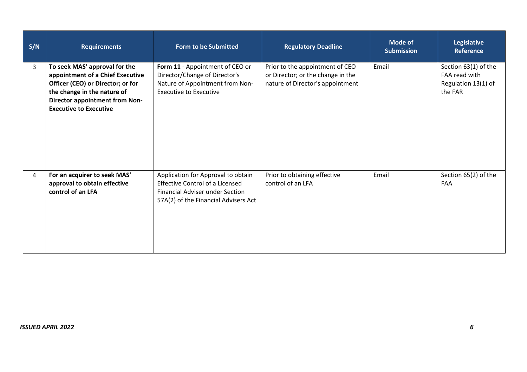| S/N | <b>Requirements</b>                                                                                                                                                                                             | Form to be Submitted                                                                                                                                           | <b>Regulatory Deadline</b>                                                                               | <b>Mode of</b><br><b>Submission</b> | <b>Legislative</b><br><b>Reference</b>                                  |
|-----|-----------------------------------------------------------------------------------------------------------------------------------------------------------------------------------------------------------------|----------------------------------------------------------------------------------------------------------------------------------------------------------------|----------------------------------------------------------------------------------------------------------|-------------------------------------|-------------------------------------------------------------------------|
| 3   | To seek MAS' approval for the<br>appointment of a Chief Executive<br>Officer (CEO) or Director; or for<br>the change in the nature of<br><b>Director appointment from Non-</b><br><b>Executive to Executive</b> | Form 11 - Appointment of CEO or<br>Director/Change of Director's<br>Nature of Appointment from Non-<br><b>Executive to Executive</b>                           | Prior to the appointment of CEO<br>or Director; or the change in the<br>nature of Director's appointment | Email                               | Section 63(1) of the<br>FAA read with<br>Regulation 13(1) of<br>the FAR |
| 4   | For an acquirer to seek MAS'<br>approval to obtain effective<br>control of an LFA                                                                                                                               | Application for Approval to obtain<br><b>Effective Control of a Licensed</b><br><b>Financial Adviser under Section</b><br>57A(2) of the Financial Advisers Act | Prior to obtaining effective<br>control of an LFA                                                        | Email                               | Section 65(2) of the<br>FAA                                             |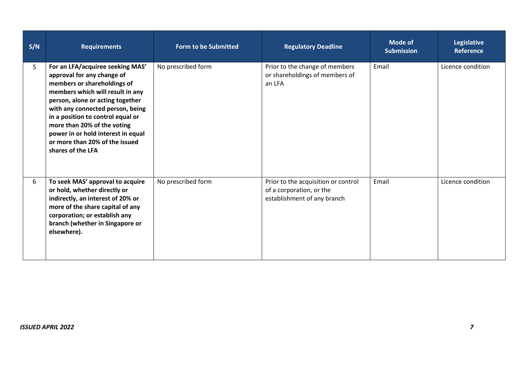| S/N | <b>Requirements</b>                                                                                                                                                                                                                                                                                                                                                        | <b>Form to be Submitted</b> | <b>Regulatory Deadline</b>                                                                     | <b>Mode of</b><br><b>Submission</b> | Legislative<br><b>Reference</b> |
|-----|----------------------------------------------------------------------------------------------------------------------------------------------------------------------------------------------------------------------------------------------------------------------------------------------------------------------------------------------------------------------------|-----------------------------|------------------------------------------------------------------------------------------------|-------------------------------------|---------------------------------|
| 5   | For an LFA/acquiree seeking MAS'<br>approval for any change of<br>members or shareholdings of<br>members which will result in any<br>person, alone or acting together<br>with any connected person, being<br>in a position to control equal or<br>more than 20% of the voting<br>power in or hold interest in equal<br>or more than 20% of the issued<br>shares of the LFA | No prescribed form          | Prior to the change of members<br>or shareholdings of members of<br>an LFA                     | Email                               | Licence condition               |
| 6   | To seek MAS' approval to acquire<br>or hold, whether directly or<br>indirectly, an interest of 20% or<br>more of the share capital of any<br>corporation; or establish any<br>branch (whether in Singapore or<br>elsewhere).                                                                                                                                               | No prescribed form          | Prior to the acquisition or control<br>of a corporation, or the<br>establishment of any branch | Email                               | Licence condition               |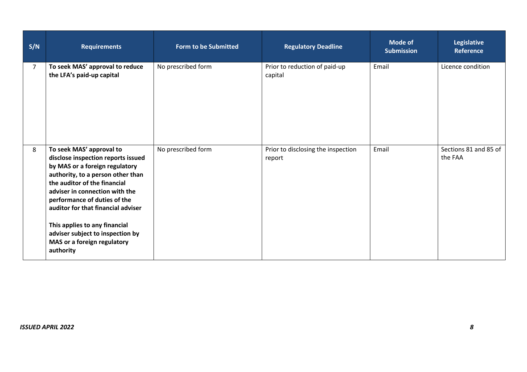| S/N            | <b>Requirements</b>                                                                                                                                                                                                                                                                                                                                                                            | <b>Form to be Submitted</b> | <b>Regulatory Deadline</b>                   | Mode of<br><b>Submission</b> | <b>Legislative</b><br><b>Reference</b> |
|----------------|------------------------------------------------------------------------------------------------------------------------------------------------------------------------------------------------------------------------------------------------------------------------------------------------------------------------------------------------------------------------------------------------|-----------------------------|----------------------------------------------|------------------------------|----------------------------------------|
| $\overline{7}$ | To seek MAS' approval to reduce<br>the LFA's paid-up capital                                                                                                                                                                                                                                                                                                                                   | No prescribed form          | Prior to reduction of paid-up<br>capital     | Email                        | Licence condition                      |
| 8              | To seek MAS' approval to<br>disclose inspection reports issued<br>by MAS or a foreign regulatory<br>authority, to a person other than<br>the auditor of the financial<br>adviser in connection with the<br>performance of duties of the<br>auditor for that financial adviser<br>This applies to any financial<br>adviser subject to inspection by<br>MAS or a foreign regulatory<br>authority | No prescribed form          | Prior to disclosing the inspection<br>report | Email                        | Sections 81 and 85 of<br>the FAA       |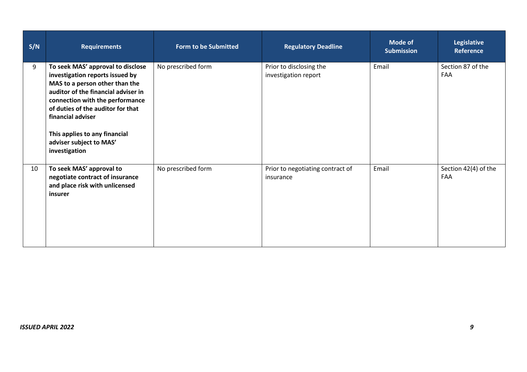| S/N | <b>Requirements</b>                                                                                                                                                                                                                                                                                                     | <b>Form to be Submitted</b> | <b>Regulatory Deadline</b>                      | <b>Mode of</b><br><b>Submission</b> | <b>Legislative</b><br><b>Reference</b> |
|-----|-------------------------------------------------------------------------------------------------------------------------------------------------------------------------------------------------------------------------------------------------------------------------------------------------------------------------|-----------------------------|-------------------------------------------------|-------------------------------------|----------------------------------------|
| 9   | To seek MAS' approval to disclose<br>investigation reports issued by<br>MAS to a person other than the<br>auditor of the financial adviser in<br>connection with the performance<br>of duties of the auditor for that<br>financial adviser<br>This applies to any financial<br>adviser subject to MAS'<br>investigation | No prescribed form          | Prior to disclosing the<br>investigation report | Email                               | Section 87 of the<br>FAA               |
| 10  | To seek MAS' approval to<br>negotiate contract of insurance<br>and place risk with unlicensed<br>insurer                                                                                                                                                                                                                | No prescribed form          | Prior to negotiating contract of<br>insurance   | Email                               | Section 42(4) of the<br><b>FAA</b>     |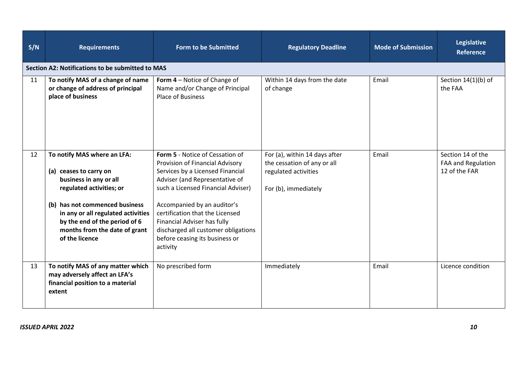| S/N | <b>Requirements</b>                                                                                                                                                                                                                                                     | <b>Form to be Submitted</b>                                                                                                                                                                                                                                                                                                                                          | <b>Regulatory Deadline</b>                                                                                   | <b>Mode of Submission</b> | <b>Legislative</b><br><b>Reference</b>                   |  |  |  |  |
|-----|-------------------------------------------------------------------------------------------------------------------------------------------------------------------------------------------------------------------------------------------------------------------------|----------------------------------------------------------------------------------------------------------------------------------------------------------------------------------------------------------------------------------------------------------------------------------------------------------------------------------------------------------------------|--------------------------------------------------------------------------------------------------------------|---------------------------|----------------------------------------------------------|--|--|--|--|
|     | Section A2: Notifications to be submitted to MAS                                                                                                                                                                                                                        |                                                                                                                                                                                                                                                                                                                                                                      |                                                                                                              |                           |                                                          |  |  |  |  |
| 11  | To notify MAS of a change of name<br>or change of address of principal<br>place of business                                                                                                                                                                             | Form 4 - Notice of Change of<br>Name and/or Change of Principal<br><b>Place of Business</b>                                                                                                                                                                                                                                                                          | Within 14 days from the date<br>of change                                                                    | Email                     | Section 14(1)(b) of<br>the FAA                           |  |  |  |  |
| 12  | To notify MAS where an LFA:<br>(a) ceases to carry on<br>business in any or all<br>regulated activities; or<br>(b) has not commenced business<br>in any or all regulated activities<br>by the end of the period of 6<br>months from the date of grant<br>of the licence | Form 5 - Notice of Cessation of<br>Provision of Financial Advisory<br>Services by a Licensed Financial<br>Adviser (and Representative of<br>such a Licensed Financial Adviser)<br>Accompanied by an auditor's<br>certification that the Licensed<br>Financial Adviser has fully<br>discharged all customer obligations<br>before ceasing its business or<br>activity | For (a), within 14 days after<br>the cessation of any or all<br>regulated activities<br>For (b), immediately | Email                     | Section 14 of the<br>FAA and Regulation<br>12 of the FAR |  |  |  |  |
| 13  | To notify MAS of any matter which<br>may adversely affect an LFA's<br>financial position to a material<br>extent                                                                                                                                                        | No prescribed form                                                                                                                                                                                                                                                                                                                                                   | Immediately                                                                                                  | Email                     | Licence condition                                        |  |  |  |  |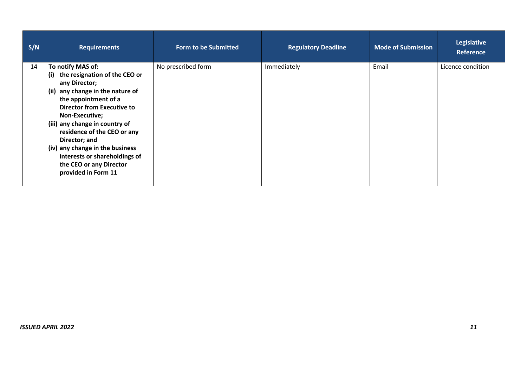| S/N | <b>Requirements</b>                                                                                                                                                                                                                                                                                                                                                                                   | <b>Form to be Submitted</b> | <b>Regulatory Deadline</b> | <b>Mode of Submission</b> | Legislative<br><b>Reference</b> |
|-----|-------------------------------------------------------------------------------------------------------------------------------------------------------------------------------------------------------------------------------------------------------------------------------------------------------------------------------------------------------------------------------------------------------|-----------------------------|----------------------------|---------------------------|---------------------------------|
| 14  | To notify MAS of:<br>the resignation of the CEO or<br>(i)<br>any Director;<br>(ii) any change in the nature of<br>the appointment of a<br><b>Director from Executive to</b><br>Non-Executive;<br>(iii) any change in country of<br>residence of the CEO or any<br>Director; and<br>(iv) any change in the business<br>interests or shareholdings of<br>the CEO or any Director<br>provided in Form 11 | No prescribed form          | Immediately                | Email                     | Licence condition               |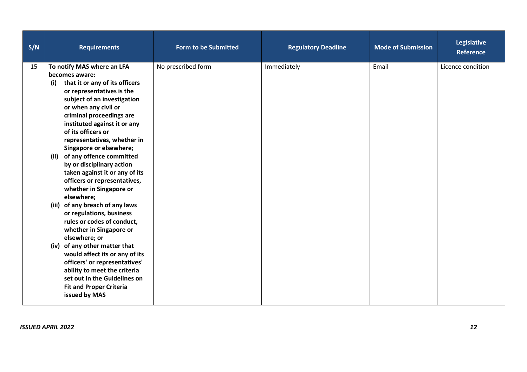| S/N | <b>Requirements</b>                                                                                                                                                                                                                                                                                                   | <b>Form to be Submitted</b> | <b>Regulatory Deadline</b> | <b>Mode of Submission</b> | Legislative<br><b>Reference</b> |
|-----|-----------------------------------------------------------------------------------------------------------------------------------------------------------------------------------------------------------------------------------------------------------------------------------------------------------------------|-----------------------------|----------------------------|---------------------------|---------------------------------|
| 15  | To notify MAS where an LFA<br>becomes aware:<br>that it or any of its officers<br>(i)<br>or representatives is the<br>subject of an investigation<br>or when any civil or<br>criminal proceedings are<br>instituted against it or any<br>of its officers or<br>representatives, whether in<br>Singapore or elsewhere; | No prescribed form          | Immediately                | Email                     | Licence condition               |
|     | of any offence committed<br>(ii)<br>by or disciplinary action<br>taken against it or any of its<br>officers or representatives,<br>whether in Singapore or<br>elsewhere;                                                                                                                                              |                             |                            |                           |                                 |
|     | (iii) of any breach of any laws<br>or regulations, business<br>rules or codes of conduct,<br>whether in Singapore or<br>elsewhere; or                                                                                                                                                                                 |                             |                            |                           |                                 |
|     | (iv) of any other matter that<br>would affect its or any of its<br>officers' or representatives'<br>ability to meet the criteria<br>set out in the Guidelines on<br><b>Fit and Proper Criteria</b><br>issued by MAS                                                                                                   |                             |                            |                           |                                 |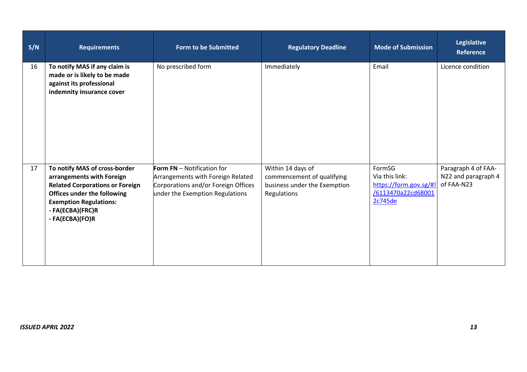| S/N | <b>Requirements</b>                                                                                                                                                                                                | <b>Form to be Submitted</b>                                                                                                               | <b>Regulatory Deadline</b>                                                                     | <b>Mode of Submission</b>                                                           | Legislative<br><b>Reference</b>                          |
|-----|--------------------------------------------------------------------------------------------------------------------------------------------------------------------------------------------------------------------|-------------------------------------------------------------------------------------------------------------------------------------------|------------------------------------------------------------------------------------------------|-------------------------------------------------------------------------------------|----------------------------------------------------------|
| 16  | To notify MAS if any claim is<br>made or is likely to be made<br>against its professional<br>indemnity insurance cover                                                                                             | No prescribed form                                                                                                                        | Immediately                                                                                    | Email                                                                               | Licence condition                                        |
| 17  | To notify MAS of cross-border<br>arrangements with Foreign<br><b>Related Corporations or Foreign</b><br><b>Offices under the following</b><br><b>Exemption Regulations:</b><br>- FA(ECBA)(FRC)R<br>- FA(ECBA)(FO)R | Form FN - Notification for<br>Arrangements with Foreign Related<br>Corporations and/or Foreign Offices<br>under the Exemption Regulations | Within 14 days of<br>commencement of qualifying<br>business under the Exemption<br>Regulations | FormSG<br>Via this link:<br>https://form.gov.sg/#!<br>/6113470a22cd68001<br>2c745de | Paragraph 4 of FAA-<br>N22 and paragraph 4<br>of FAA-N23 |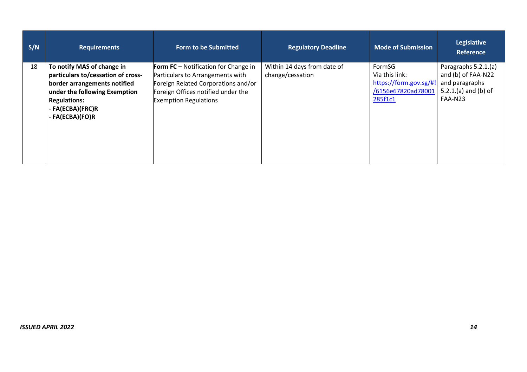| S/N | <b>Requirements</b>                                                                                                                                                                             | <b>Form to be Submitted</b>                                                                                                                                                           | <b>Regulatory Deadline</b>                      | <b>Mode of Submission</b>                                                           | <b>Legislative</b><br><b>Reference</b>                                                          |
|-----|-------------------------------------------------------------------------------------------------------------------------------------------------------------------------------------------------|---------------------------------------------------------------------------------------------------------------------------------------------------------------------------------------|-------------------------------------------------|-------------------------------------------------------------------------------------|-------------------------------------------------------------------------------------------------|
| 18  | To notify MAS of change in<br>particulars to/cessation of cross-<br>border arrangements notified<br>under the following Exemption<br><b>Regulations:</b><br>- FA(ECBA)(FRC)R<br>- FA(ECBA)(FO)R | Form FC - Notification for Change in<br>Particulars to Arrangements with<br>Foreign Related Corporations and/or<br>Foreign Offices notified under the<br><b>Exemption Regulations</b> | Within 14 days from date of<br>change/cessation | FormSG<br>Via this link:<br>https://form.gov.sg/#!<br>/6156e67820ad78001<br>285f1c1 | Paragraphs 5.2.1.(a)<br>and (b) of FAA-N22<br>and paragraphs<br>5.2.1.(a) and (b) of<br>FAA-N23 |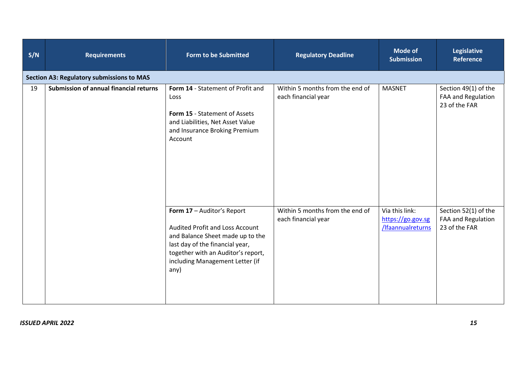| S/N | <b>Requirements</b>                              | <b>Form to be Submitted</b>                                                                                                                                                                                                  | <b>Regulatory Deadline</b>                             | <b>Mode of</b><br><b>Submission</b>                      | <b>Legislative</b><br><b>Reference</b>                      |
|-----|--------------------------------------------------|------------------------------------------------------------------------------------------------------------------------------------------------------------------------------------------------------------------------------|--------------------------------------------------------|----------------------------------------------------------|-------------------------------------------------------------|
|     | <b>Section A3: Regulatory submissions to MAS</b> |                                                                                                                                                                                                                              |                                                        |                                                          |                                                             |
| 19  | Submission of annual financial returns           | Form 14 - Statement of Profit and<br>Loss<br>Form 15 - Statement of Assets<br>and Liabilities, Net Asset Value<br>and Insurance Broking Premium<br>Account                                                                   | Within 5 months from the end of<br>each financial year | <b>MASNET</b>                                            | Section 49(1) of the<br>FAA and Regulation<br>23 of the FAR |
|     |                                                  | Form 17 - Auditor's Report<br><b>Audited Profit and Loss Account</b><br>and Balance Sheet made up to the<br>last day of the financial year,<br>together with an Auditor's report,<br>including Management Letter (if<br>any) | Within 5 months from the end of<br>each financial year | Via this link:<br>https://go.gov.sg<br>/Ifaannualreturns | Section 52(1) of the<br>FAA and Regulation<br>23 of the FAR |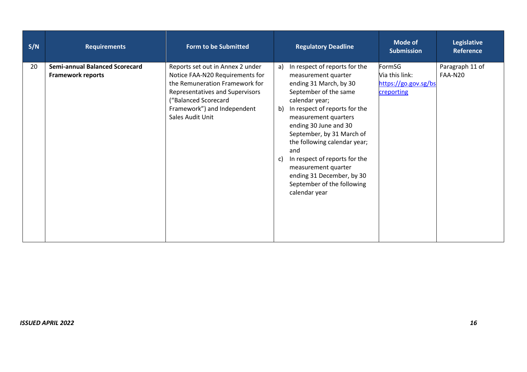| S/N | <b>Requirements</b>                                               | <b>Form to be Submitted</b>                                                                                                                                                                                         | <b>Regulatory Deadline</b>                                                                                                                                                                                                                                                                                                                                                                                                            | Mode of<br><b>Submission</b>                                   | <b>Legislative</b><br><b>Reference</b> |
|-----|-------------------------------------------------------------------|---------------------------------------------------------------------------------------------------------------------------------------------------------------------------------------------------------------------|---------------------------------------------------------------------------------------------------------------------------------------------------------------------------------------------------------------------------------------------------------------------------------------------------------------------------------------------------------------------------------------------------------------------------------------|----------------------------------------------------------------|----------------------------------------|
| 20  | <b>Semi-annual Balanced Scorecard</b><br><b>Framework reports</b> | Reports set out in Annex 2 under<br>Notice FAA-N20 Requirements for<br>the Remuneration Framework for<br>Representatives and Supervisors<br>("Balanced Scorecard<br>Framework") and Independent<br>Sales Audit Unit | In respect of reports for the<br>a)<br>measurement quarter<br>ending 31 March, by 30<br>September of the same<br>calendar year;<br>In respect of reports for the<br>b)<br>measurement quarters<br>ending 30 June and 30<br>September, by 31 March of<br>the following calendar year;<br>and<br>In respect of reports for the<br>c)<br>measurement quarter<br>ending 31 December, by 30<br>September of the following<br>calendar year | FormSG<br>Via this link:<br>https://go.gov.sg/bs<br>creporting | Paragraph 11 of<br>FAA-N20             |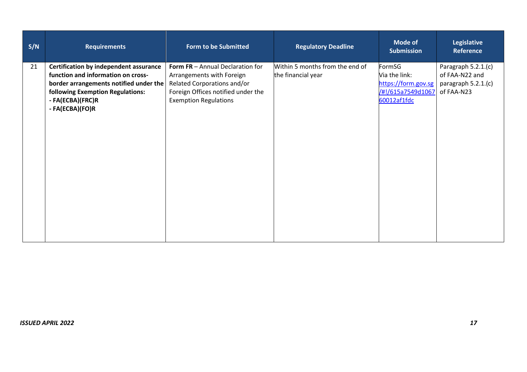| S/N<br><b>Requirements</b>                                                                                                                                                                              | <b>Form to be Submitted</b>                                                                                                                                               | <b>Regulatory Deadline</b>                            | <b>Mode of</b><br>Submission                                                       | <b>Legislative</b><br>Reference                                             |
|---------------------------------------------------------------------------------------------------------------------------------------------------------------------------------------------------------|---------------------------------------------------------------------------------------------------------------------------------------------------------------------------|-------------------------------------------------------|------------------------------------------------------------------------------------|-----------------------------------------------------------------------------|
| 21<br>Certification by independent assurance<br>function and information on cross-<br>border arrangements notified under the<br>following Exemption Regulations:<br>- FA(ECBA)(FRC)R<br>- FA(ECBA)(FO)R | <b>Form FR</b> - Annual Declaration for<br>Arrangements with Foreign<br>Related Corporations and/or<br>Foreign Offices notified under the<br><b>Exemption Regulations</b> | Within 5 months from the end of<br>the financial year | FormSG<br>Via the link:<br>https://form.gov.sg<br>/#!/615a7549d1067<br>60012af1fdc | Paragraph 5.2.1.(c)<br>of FAA-N22 and<br>paragraph $5.2.1(c)$<br>of FAA-N23 |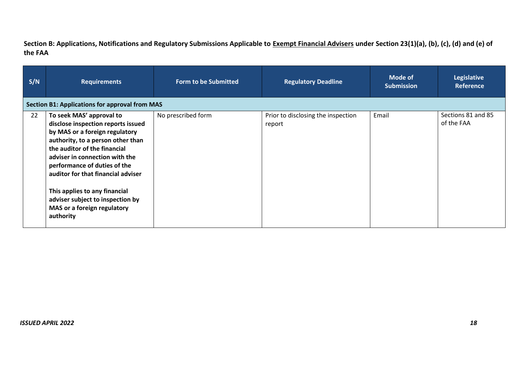**Section B: Applications, Notifications and Regulatory Submissions Applicable to Exempt Financial Advisers under Section 23(1)(a), (b), (c), (d) and (e) of the FAA**

| S/N | <b>Requirements</b>                                                                                                                                                                                                                                                                                                                                                                            | <b>Form to be Submitted</b> | <b>Regulatory Deadline</b>                   | Mode of<br><b>Submission</b> | Legislative<br><b>Reference</b>  |
|-----|------------------------------------------------------------------------------------------------------------------------------------------------------------------------------------------------------------------------------------------------------------------------------------------------------------------------------------------------------------------------------------------------|-----------------------------|----------------------------------------------|------------------------------|----------------------------------|
|     | <b>Section B1: Applications for approval from MAS</b>                                                                                                                                                                                                                                                                                                                                          |                             |                                              |                              |                                  |
| 22  | To seek MAS' approval to<br>disclose inspection reports issued<br>by MAS or a foreign regulatory<br>authority, to a person other than<br>the auditor of the financial<br>adviser in connection with the<br>performance of duties of the<br>auditor for that financial adviser<br>This applies to any financial<br>adviser subject to inspection by<br>MAS or a foreign regulatory<br>authority | No prescribed form          | Prior to disclosing the inspection<br>report | Email                        | Sections 81 and 85<br>of the FAA |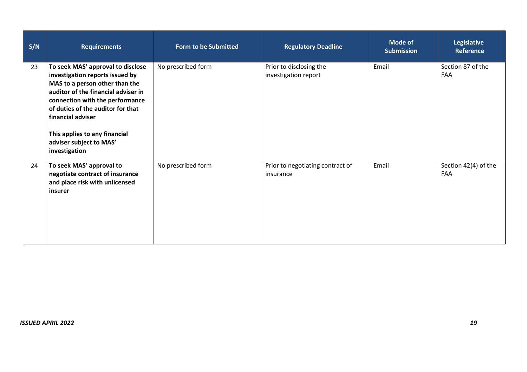| S/N | <b>Requirements</b>                                                                                                                                                                                                                                                                                                     | <b>Form to be Submitted</b> | <b>Regulatory Deadline</b>                      | Mode of<br><b>Submission</b> | <b>Legislative</b><br><b>Reference</b> |
|-----|-------------------------------------------------------------------------------------------------------------------------------------------------------------------------------------------------------------------------------------------------------------------------------------------------------------------------|-----------------------------|-------------------------------------------------|------------------------------|----------------------------------------|
| 23  | To seek MAS' approval to disclose<br>investigation reports issued by<br>MAS to a person other than the<br>auditor of the financial adviser in<br>connection with the performance<br>of duties of the auditor for that<br>financial adviser<br>This applies to any financial<br>adviser subject to MAS'<br>investigation | No prescribed form          | Prior to disclosing the<br>investigation report | Email                        | Section 87 of the<br>FAA               |
| 24  | To seek MAS' approval to<br>negotiate contract of insurance<br>and place risk with unlicensed<br>insurer                                                                                                                                                                                                                | No prescribed form          | Prior to negotiating contract of<br>insurance   | Email                        | Section 42(4) of the<br><b>FAA</b>     |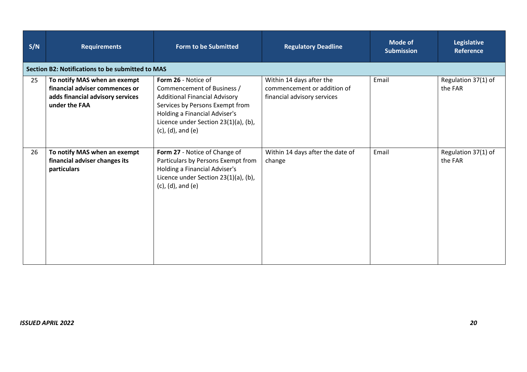| S/N | <b>Requirements</b>                                                                                                 | Form to be Submitted                                                                                                                                                                                                               | <b>Regulatory Deadline</b>                                                             | Mode of<br><b>Submission</b> | <b>Legislative</b><br><b>Reference</b> |
|-----|---------------------------------------------------------------------------------------------------------------------|------------------------------------------------------------------------------------------------------------------------------------------------------------------------------------------------------------------------------------|----------------------------------------------------------------------------------------|------------------------------|----------------------------------------|
|     | Section B2: Notifications to be submitted to MAS                                                                    |                                                                                                                                                                                                                                    |                                                                                        |                              |                                        |
| 25  | To notify MAS when an exempt<br>financial adviser commences or<br>adds financial advisory services<br>under the FAA | Form 26 - Notice of<br>Commencement of Business /<br><b>Additional Financial Advisory</b><br>Services by Persons Exempt from<br>Holding a Financial Adviser's<br>Licence under Section 23(1)(a), (b),<br>$(c)$ , $(d)$ , and $(e)$ | Within 14 days after the<br>commencement or addition of<br>financial advisory services | Email                        | Regulation 37(1) of<br>the FAR         |
| 26  | To notify MAS when an exempt<br>financial adviser changes its<br>particulars                                        | Form 27 - Notice of Change of<br>Particulars by Persons Exempt from<br>Holding a Financial Adviser's<br>Licence under Section 23(1)(a), (b),<br>$(c)$ , $(d)$ , and $(e)$                                                          | Within 14 days after the date of<br>change                                             | Email                        | Regulation 37(1) of<br>the FAR         |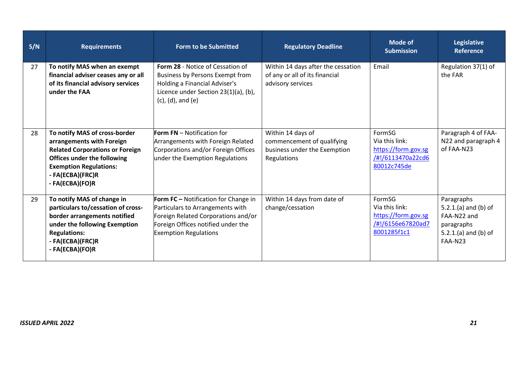| S/N | <b>Requirements</b>                                                                                                                                                                                         | <b>Form to be Submitted</b>                                                                                                                                                           | <b>Regulatory Deadline</b>                                                                     | <b>Mode of</b><br><b>Submission</b>                                                 | Legislative<br><b>Reference</b>                                                                    |
|-----|-------------------------------------------------------------------------------------------------------------------------------------------------------------------------------------------------------------|---------------------------------------------------------------------------------------------------------------------------------------------------------------------------------------|------------------------------------------------------------------------------------------------|-------------------------------------------------------------------------------------|----------------------------------------------------------------------------------------------------|
| 27  | To notify MAS when an exempt<br>financial adviser ceases any or all<br>of its financial advisory services<br>under the FAA                                                                                  | Form 28 - Notice of Cessation of<br>Business by Persons Exempt from<br>Holding a Financial Adviser's<br>Licence under Section 23(1)(a), (b),<br>$(c)$ , $(d)$ , and $(e)$             | Within 14 days after the cessation<br>of any or all of its financial<br>advisory services      | Email                                                                               | Regulation 37(1) of<br>the FAR                                                                     |
| 28  | To notify MAS of cross-border<br>arrangements with Foreign<br><b>Related Corporations or Foreign</b><br>Offices under the following<br><b>Exemption Regulations:</b><br>- FA(ECBA)(FRC)R<br>- FA(ECBA)(FO)R | <b>Form FN</b> – Notification for<br>Arrangements with Foreign Related<br>Corporations and/or Foreign Offices<br>under the Exemption Regulations                                      | Within 14 days of<br>commencement of qualifying<br>business under the Exemption<br>Regulations | FormSG<br>Via this link:<br>https://form.gov.sg<br>/#!/6113470a22cd6<br>80012c745de | Paragraph 4 of FAA-<br>N22 and paragraph 4<br>of FAA-N23                                           |
| 29  | To notify MAS of change in<br>particulars to/cessation of cross-<br>border arrangements notified<br>under the following Exemption<br><b>Regulations:</b><br>- FA(ECBA)(FRC)R<br>- FA(ECBA)(FO)R             | Form FC - Notification for Change in<br>Particulars to Arrangements with<br>Foreign Related Corporations and/or<br>Foreign Offices notified under the<br><b>Exemption Regulations</b> | Within 14 days from date of<br>change/cessation                                                | FormSG<br>Via this link:<br>https://form.gov.sg<br>/#!/6156e67820ad7<br>8001285f1c1 | Paragraphs<br>5.2.1.(a) and (b) of<br>FAA-N22 and<br>paragraphs<br>5.2.1.(a) and (b) of<br>FAA-N23 |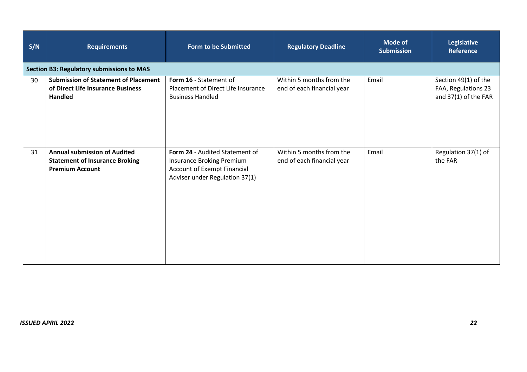| S/N | <b>Requirements</b>                                                                                    | <b>Form to be Submitted</b>                                                                                                  | <b>Regulatory Deadline</b>                             | Mode of<br><b>Submission</b> | <b>Legislative</b><br><b>Reference</b>                              |
|-----|--------------------------------------------------------------------------------------------------------|------------------------------------------------------------------------------------------------------------------------------|--------------------------------------------------------|------------------------------|---------------------------------------------------------------------|
|     | <b>Section B3: Regulatory submissions to MAS</b>                                                       |                                                                                                                              |                                                        |                              |                                                                     |
| 30  | <b>Submission of Statement of Placement</b><br>of Direct Life Insurance Business<br><b>Handled</b>     | Form 16 - Statement of<br>Placement of Direct Life Insurance<br><b>Business Handled</b>                                      | Within 5 months from the<br>end of each financial year | Email                        | Section 49(1) of the<br>FAA, Regulations 23<br>and 37(1) of the FAR |
| 31  | <b>Annual submission of Audited</b><br><b>Statement of Insurance Broking</b><br><b>Premium Account</b> | Form 24 - Audited Statement of<br>Insurance Broking Premium<br>Account of Exempt Financial<br>Adviser under Regulation 37(1) | Within 5 months from the<br>end of each financial year | Email                        | Regulation 37(1) of<br>the FAR                                      |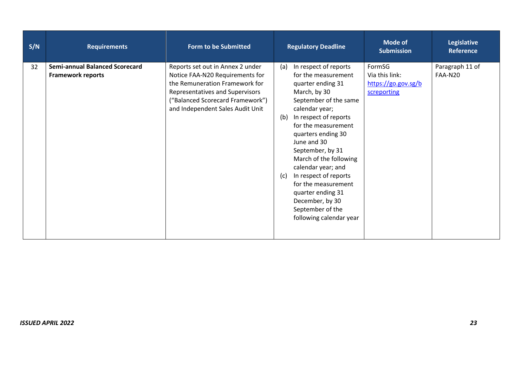| S/N | <b>Requirements</b>                                               | <b>Form to be Submitted</b>                                                                                                                                                                                      | <b>Regulatory Deadline</b>                                                                                                                                                                                                                                                                                                                                                                                                                        | <b>Mode of</b><br><b>Submission</b>                            | <b>Legislative</b><br><b>Reference</b> |
|-----|-------------------------------------------------------------------|------------------------------------------------------------------------------------------------------------------------------------------------------------------------------------------------------------------|---------------------------------------------------------------------------------------------------------------------------------------------------------------------------------------------------------------------------------------------------------------------------------------------------------------------------------------------------------------------------------------------------------------------------------------------------|----------------------------------------------------------------|----------------------------------------|
| 32  | <b>Semi-annual Balanced Scorecard</b><br><b>Framework reports</b> | Reports set out in Annex 2 under<br>Notice FAA-N20 Requirements for<br>the Remuneration Framework for<br>Representatives and Supervisors<br>("Balanced Scorecard Framework")<br>and Independent Sales Audit Unit | In respect of reports<br>(a)<br>for the measurement<br>quarter ending 31<br>March, by 30<br>September of the same<br>calendar year;<br>In respect of reports<br>(b)<br>for the measurement<br>quarters ending 30<br>June and 30<br>September, by 31<br>March of the following<br>calendar year; and<br>In respect of reports<br>(c)<br>for the measurement<br>quarter ending 31<br>December, by 30<br>September of the<br>following calendar year | FormSG<br>Via this link:<br>https://go.gov.sg/b<br>screporting | Paragraph 11 of<br>FAA-N20             |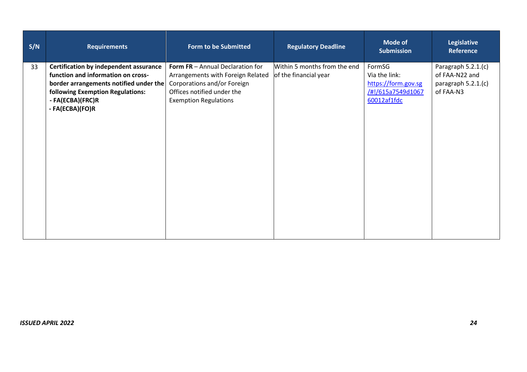| S/N<br><b>Requirements</b>                                                                                                                                                                                     | <b>Form to be Submitted</b>                                                                                                                                        | <b>Regulatory Deadline</b>                            | <b>Mode of</b><br><b>Submission</b>                                                | <b>Legislative</b><br><b>Reference</b>                                    |
|----------------------------------------------------------------------------------------------------------------------------------------------------------------------------------------------------------------|--------------------------------------------------------------------------------------------------------------------------------------------------------------------|-------------------------------------------------------|------------------------------------------------------------------------------------|---------------------------------------------------------------------------|
| <b>Certification by independent assurance</b><br>33<br>function and information on cross-<br>border arrangements notified under the<br>following Exemption Regulations:<br>- FA(ECBA)(FRC)R<br>- FA(ECBA)(FO)R | Form FR - Annual Declaration for<br>Arrangements with Foreign Related<br>Corporations and/or Foreign<br>Offices notified under the<br><b>Exemption Regulations</b> | Within 5 months from the end<br>of the financial year | FormSG<br>Via the link:<br>https://form.gov.sg<br>/#!/615a7549d1067<br>60012af1fdc | Paragraph 5.2.1.(c)<br>of FAA-N22 and<br>paragraph 5.2.1.(c)<br>of FAA-N3 |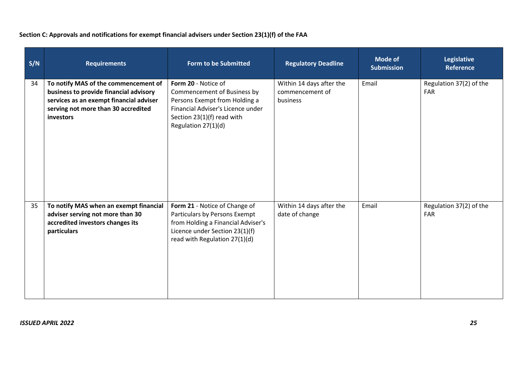## **Section C: Approvals and notifications for exempt financial advisers under Section 23(1)(f) of the FAA**

| S/N | <b>Requirements</b>                                                                                                                                                           | <b>Form to be Submitted</b>                                                                                                                                                     | <b>Regulatory Deadline</b>                              | <b>Mode of</b><br><b>Submission</b> | <b>Legislative</b><br><b>Reference</b> |
|-----|-------------------------------------------------------------------------------------------------------------------------------------------------------------------------------|---------------------------------------------------------------------------------------------------------------------------------------------------------------------------------|---------------------------------------------------------|-------------------------------------|----------------------------------------|
| 34  | To notify MAS of the commencement of<br>business to provide financial advisory<br>services as an exempt financial adviser<br>serving not more than 30 accredited<br>investors | Form 20 - Notice of<br>Commencement of Business by<br>Persons Exempt from Holding a<br>Financial Adviser's Licence under<br>Section $23(1)(f)$ read with<br>Regulation 27(1)(d) | Within 14 days after the<br>commencement of<br>business | Email                               | Regulation 37(2) of the<br><b>FAR</b>  |
| 35  | To notify MAS when an exempt financial<br>adviser serving not more than 30<br>accredited investors changes its<br>particulars                                                 | Form 21 - Notice of Change of<br>Particulars by Persons Exempt<br>from Holding a Financial Adviser's<br>Licence under Section 23(1)(f)<br>read with Regulation 27(1)(d)         | Within 14 days after the<br>date of change              | Email                               | Regulation 37(2) of the<br><b>FAR</b>  |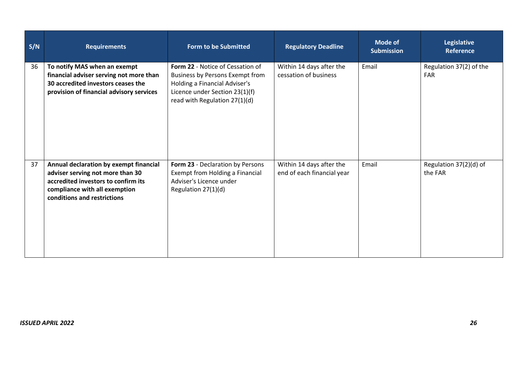| S/N | <b>Requirements</b>                                                                                                                                                               | <b>Form to be Submitted</b>                                                                                                                                                    | <b>Regulatory Deadline</b>                             | <b>Mode of</b><br><b>Submission</b> | Legislative<br><b>Reference</b>       |
|-----|-----------------------------------------------------------------------------------------------------------------------------------------------------------------------------------|--------------------------------------------------------------------------------------------------------------------------------------------------------------------------------|--------------------------------------------------------|-------------------------------------|---------------------------------------|
| 36  | To notify MAS when an exempt<br>financial adviser serving not more than<br>30 accredited investors ceases the<br>provision of financial advisory services                         | Form 22 - Notice of Cessation of<br><b>Business by Persons Exempt from</b><br>Holding a Financial Adviser's<br>Licence under Section 23(1)(f)<br>read with Regulation 27(1)(d) | Within 14 days after the<br>cessation of business      | Email                               | Regulation 37(2) of the<br><b>FAR</b> |
| 37  | Annual declaration by exempt financial<br>adviser serving not more than 30<br>accredited investors to confirm its<br>compliance with all exemption<br>conditions and restrictions | Form 23 - Declaration by Persons<br>Exempt from Holding a Financial<br>Adviser's Licence under<br>Regulation 27(1)(d)                                                          | Within 14 days after the<br>end of each financial year | Email                               | Regulation 37(2)(d) of<br>the FAR     |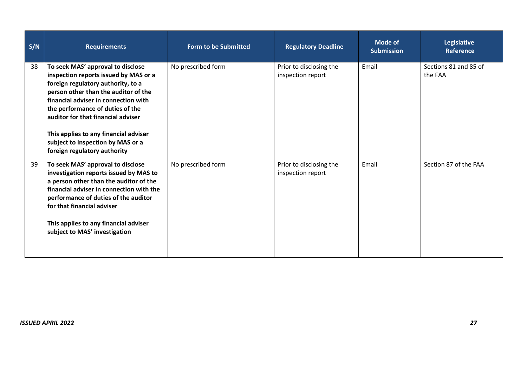| S/N | <b>Requirements</b>                                                                                                                                                                                                                                                                                                                                                                      | <b>Form to be Submitted</b> | <b>Regulatory Deadline</b>                   | <b>Mode of</b><br><b>Submission</b> | Legislative<br><b>Reference</b>  |
|-----|------------------------------------------------------------------------------------------------------------------------------------------------------------------------------------------------------------------------------------------------------------------------------------------------------------------------------------------------------------------------------------------|-----------------------------|----------------------------------------------|-------------------------------------|----------------------------------|
| 38  | To seek MAS' approval to disclose<br>inspection reports issued by MAS or a<br>foreign regulatory authority, to a<br>person other than the auditor of the<br>financial adviser in connection with<br>the performance of duties of the<br>auditor for that financial adviser<br>This applies to any financial adviser<br>subject to inspection by MAS or a<br>foreign regulatory authority | No prescribed form          | Prior to disclosing the<br>inspection report | Email                               | Sections 81 and 85 of<br>the FAA |
| 39  | To seek MAS' approval to disclose<br>investigation reports issued by MAS to<br>a person other than the auditor of the<br>financial adviser in connection with the<br>performance of duties of the auditor<br>for that financial adviser<br>This applies to any financial adviser<br>subject to MAS' investigation                                                                        | No prescribed form          | Prior to disclosing the<br>inspection report | Email                               | Section 87 of the FAA            |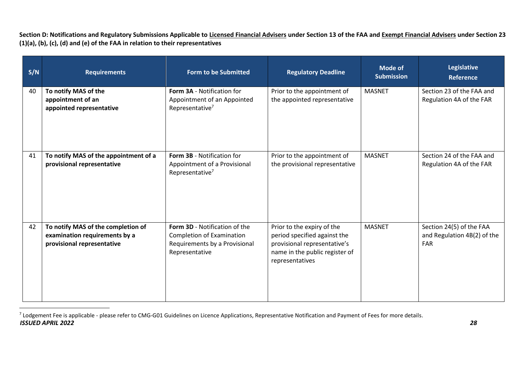**Section D: Notifications and Regulatory Submissions Applicable to Licensed Financial Advisers under Section 13 of the FAA and Exempt Financial Advisers under Section 23 (1)(a), (b), (c), (d) and (e) of the FAA in relation to their representatives**

| S/N | <b>Requirements</b>                                                                               | <b>Form to be Submitted</b>                                                                                          | <b>Regulatory Deadline</b>                                                                                                                      | <b>Mode of</b><br><b>Submission</b> | <b>Legislative</b><br><b>Reference</b>                                |
|-----|---------------------------------------------------------------------------------------------------|----------------------------------------------------------------------------------------------------------------------|-------------------------------------------------------------------------------------------------------------------------------------------------|-------------------------------------|-----------------------------------------------------------------------|
| 40  | To notify MAS of the<br>appointment of an<br>appointed representative                             | Form 3A - Notification for<br>Appointment of an Appointed<br>Representative <sup>7</sup>                             | Prior to the appointment of<br>the appointed representative                                                                                     | <b>MASNET</b>                       | Section 23 of the FAA and<br>Regulation 4A of the FAR                 |
| 41  | To notify MAS of the appointment of a<br>provisional representative                               | <b>Form 3B - Notification for</b><br>Appointment of a Provisional<br>Representative <sup>7</sup>                     | Prior to the appointment of<br>the provisional representative                                                                                   | <b>MASNET</b>                       | Section 24 of the FAA and<br>Regulation 4A of the FAR                 |
| 42  | To notify MAS of the completion of<br>examination requirements by a<br>provisional representative | Form 3D - Notification of the<br><b>Completion of Examination</b><br>Requirements by a Provisional<br>Representative | Prior to the expiry of the<br>period specified against the<br>provisional representative's<br>name in the public register of<br>representatives | <b>MASNET</b>                       | Section 24(5) of the FAA<br>and Regulation 4B(2) of the<br><b>FAR</b> |

*ISSUED APRIL 2022 28*  $^7$  Lodgement Fee is applicable - please refer to CMG-G01 Guidelines on Licence Applications, Representative Notification and Payment of Fees for more details.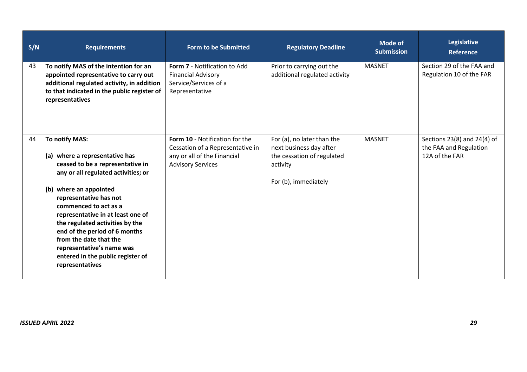| S/N | <b>Requirements</b>                                                                                                                                                                                                                                                                                                                                                                                                              | <b>Form to be Submitted</b>                                                                                                   | <b>Regulatory Deadline</b>                                                                                              | <b>Mode of</b><br><b>Submission</b> | <b>Legislative</b><br><b>Reference</b>                                      |
|-----|----------------------------------------------------------------------------------------------------------------------------------------------------------------------------------------------------------------------------------------------------------------------------------------------------------------------------------------------------------------------------------------------------------------------------------|-------------------------------------------------------------------------------------------------------------------------------|-------------------------------------------------------------------------------------------------------------------------|-------------------------------------|-----------------------------------------------------------------------------|
| 43  | To notify MAS of the intention for an<br>appointed representative to carry out<br>additional regulated activity, in addition<br>to that indicated in the public register of<br>representatives                                                                                                                                                                                                                                   | Form 7 - Notification to Add<br><b>Financial Advisory</b><br>Service/Services of a<br>Representative                          | Prior to carrying out the<br>additional regulated activity                                                              | <b>MASNET</b>                       | Section 29 of the FAA and<br>Regulation 10 of the FAR                       |
| 44  | To notify MAS:<br>(a) where a representative has<br>ceased to be a representative in<br>any or all regulated activities; or<br>(b) where an appointed<br>representative has not<br>commenced to act as a<br>representative in at least one of<br>the regulated activities by the<br>end of the period of 6 months<br>from the date that the<br>representative's name was<br>entered in the public register of<br>representatives | Form 10 - Notification for the<br>Cessation of a Representative in<br>any or all of the Financial<br><b>Advisory Services</b> | For (a), no later than the<br>next business day after<br>the cessation of regulated<br>activity<br>For (b), immediately | <b>MASNET</b>                       | Sections $23(8)$ and $24(4)$ of<br>the FAA and Regulation<br>12A of the FAR |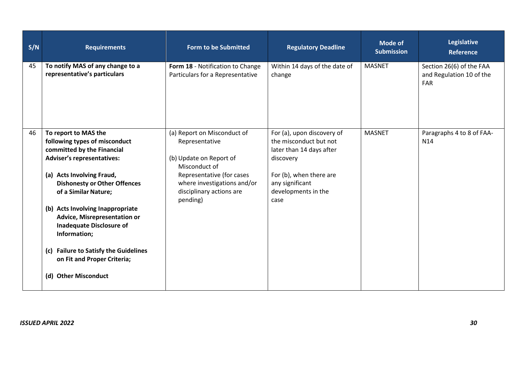| S/N | <b>Requirements</b>                                                                                                                                                                                                                                      | <b>Form to be Submitted</b>                                                                                                                                                                   | <b>Regulatory Deadline</b>                                                                                                                                                 | <b>Mode of</b><br><b>Submission</b> | Legislative<br><b>Reference</b>                                    |
|-----|----------------------------------------------------------------------------------------------------------------------------------------------------------------------------------------------------------------------------------------------------------|-----------------------------------------------------------------------------------------------------------------------------------------------------------------------------------------------|----------------------------------------------------------------------------------------------------------------------------------------------------------------------------|-------------------------------------|--------------------------------------------------------------------|
| 45  | To notify MAS of any change to a<br>representative's particulars                                                                                                                                                                                         | Form 18 - Notification to Change<br>Particulars for a Representative                                                                                                                          | Within 14 days of the date of<br>change                                                                                                                                    | <b>MASNET</b>                       | Section 26(6) of the FAA<br>and Regulation 10 of the<br><b>FAR</b> |
| 46  | To report to MAS the<br>following types of misconduct<br>committed by the Financial<br><b>Adviser's representatives:</b><br>(a) Acts Involving Fraud,<br><b>Dishonesty or Other Offences</b><br>of a Similar Nature;<br>(b) Acts Involving Inappropriate | (a) Report on Misconduct of<br>Representative<br>(b) Update on Report of<br>Misconduct of<br>Representative (for cases<br>where investigations and/or<br>disciplinary actions are<br>pending) | For (a), upon discovery of<br>the misconduct but not<br>later than 14 days after<br>discovery<br>For (b), when there are<br>any significant<br>developments in the<br>case | <b>MASNET</b>                       | Paragraphs 4 to 8 of FAA-<br>N <sub>14</sub>                       |
|     | Advice, Misrepresentation or<br><b>Inadequate Disclosure of</b><br>Information;<br>(c) Failure to Satisfy the Guidelines<br>on Fit and Proper Criteria;                                                                                                  |                                                                                                                                                                                               |                                                                                                                                                                            |                                     |                                                                    |
|     | (d) Other Misconduct                                                                                                                                                                                                                                     |                                                                                                                                                                                               |                                                                                                                                                                            |                                     |                                                                    |